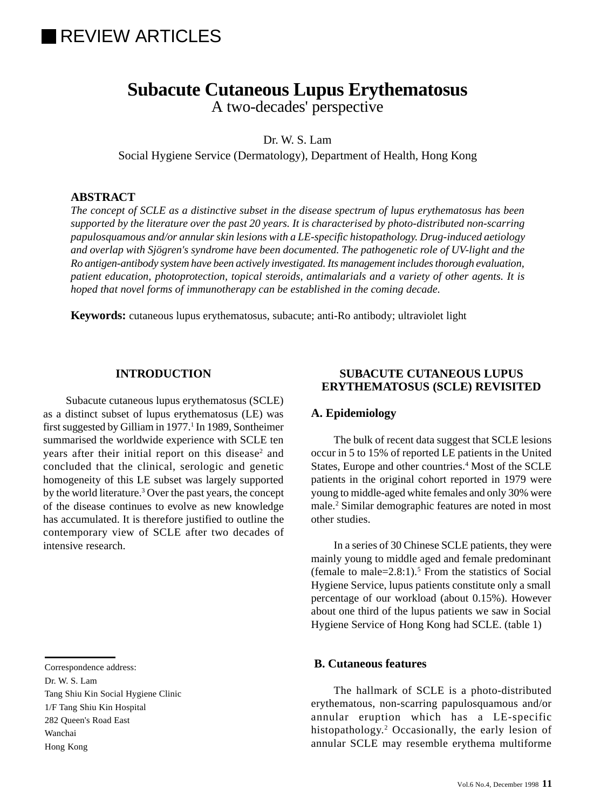## **IREVIEW ARTICLES**

# **Subacute Cutaneous Lupus Erythematosus**

A two-decades' perspective

Dr. W. S. Lam

Social Hygiene Service (Dermatology), Department of Health, Hong Kong

#### **ABSTRACT**

*The concept of SCLE as a distinctive subset in the disease spectrum of lupus erythematosus has been supported by the literature over the past 20 years. It is characterised by photo-distributed non-scarring papulosquamous and/or annular skin lesions with a LE-specific histopathology. Drug-induced aetiology and overlap with Sjögren's syndrome have been documented. The pathogenetic role of UV-light and the Ro antigen-antibody system have been actively investigated. Its management includes thorough evaluation, patient education, photoprotection, topical steroids, antimalarials and a variety of other agents. It is hoped that novel forms of immunotherapy can be established in the coming decade.*

**Keywords:** cutaneous lupus erythematosus, subacute; anti-Ro antibody; ultraviolet light

#### **INTRODUCTION**

Subacute cutaneous lupus erythematosus (SCLE) as a distinct subset of lupus erythematosus (LE) was first suggested by Gilliam in 1977.<sup>1</sup> In 1989, Sontheimer summarised the worldwide experience with SCLE ten years after their initial report on this disease<sup>2</sup> and concluded that the clinical, serologic and genetic homogeneity of this LE subset was largely supported by the world literature.<sup>3</sup> Over the past years, the concept of the disease continues to evolve as new knowledge has accumulated. It is therefore justified to outline the contemporary view of SCLE after two decades of intensive research.

#### Correspondence address:

Dr. W. S. Lam

Tang Shiu Kin Social Hygiene Clinic 1/F Tang Shiu Kin Hospital 282 Queen's Road East Wanchai Hong Kong

#### **SUBACUTE CUTANEOUS LUPUS ERYTHEMATOSUS (SCLE) REVISITED**

#### **A. Epidemiology**

The bulk of recent data suggest that SCLE lesions occur in 5 to 15% of reported LE patients in the United States, Europe and other countries.<sup>4</sup> Most of the SCLE patients in the original cohort reported in 1979 were young to middle-aged white females and only 30% were male.2 Similar demographic features are noted in most other studies.

In a series of 30 Chinese SCLE patients, they were mainly young to middle aged and female predominant (female to male= $2.8:1$ ).<sup>5</sup> From the statistics of Social Hygiene Service, lupus patients constitute only a small percentage of our workload (about 0.15%). However about one third of the lupus patients we saw in Social Hygiene Service of Hong Kong had SCLE. (table 1)

#### **B. Cutaneous features**

The hallmark of SCLE is a photo-distributed erythematous, non-scarring papulosquamous and/or annular eruption which has a LE-specific histopathology.2 Occasionally, the early lesion of annular SCLE may resemble erythema multiforme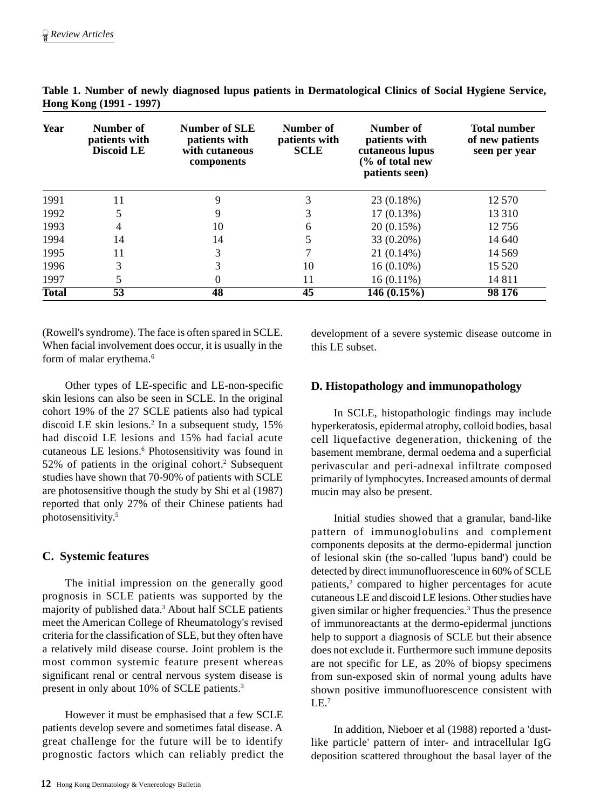| Year         | Number of<br>patients with<br><b>Discoid LE</b> | <b>Number of SLE</b><br>patients with<br>with cutaneous<br>components | Number of<br>patients with<br><b>SCLE</b> | Number of<br>patients with<br>cutaneous lupus<br>(% of total new<br>patients seen) | <b>Total number</b><br>of new patients<br>seen per year |
|--------------|-------------------------------------------------|-----------------------------------------------------------------------|-------------------------------------------|------------------------------------------------------------------------------------|---------------------------------------------------------|
| 1991         | 11                                              | 9                                                                     | 3                                         | 23 (0.18%)                                                                         | 12 570                                                  |
| 1992         |                                                 | 9                                                                     |                                           | 17(0.13%)                                                                          | 13 310                                                  |
| 1993         | 4                                               | 10                                                                    | 6                                         | 20(0.15%)                                                                          | 12 756                                                  |
| 1994         | 14                                              | 14                                                                    | 5                                         | 33 (0.20%)                                                                         | 14 640                                                  |
| 1995         | 11                                              | 3                                                                     |                                           | $21(0.14\%)$                                                                       | 14 5 69                                                 |
| 1996         | 3                                               | 3                                                                     | 10                                        | $16(0.10\%)$                                                                       | 15 5 20                                                 |
| 1997         |                                                 | 0                                                                     | 11                                        | $16(0.11\%)$                                                                       | 14 811                                                  |
| <b>Total</b> | $\overline{53}$                                 | 48                                                                    | 45                                        | 146(0.15%)                                                                         | 98 176                                                  |

**Table 1. Number of newly diagnosed lupus patients in Dermatological Clinics of Social Hygiene Service, Hong Kong (1991 - 1997)**

(Rowell's syndrome). The face is often spared in SCLE. When facial involvement does occur, it is usually in the form of malar erythema.<sup>6</sup>

Other types of LE-specific and LE-non-specific skin lesions can also be seen in SCLE. In the original cohort 19% of the 27 SCLE patients also had typical discoid LE skin lesions.<sup>2</sup> In a subsequent study, 15% had discoid LE lesions and 15% had facial acute cutaneous LE lesions.<sup>6</sup> Photosensitivity was found in 52% of patients in the original cohort.<sup>2</sup> Subsequent studies have shown that 70-90% of patients with SCLE are photosensitive though the study by Shi et al (1987) reported that only 27% of their Chinese patients had photosensitivity.5

### **C. Systemic features**

The initial impression on the generally good prognosis in SCLE patients was supported by the majority of published data.<sup>3</sup> About half SCLE patients meet the American College of Rheumatology's revised criteria for the classification of SLE, but they often have a relatively mild disease course. Joint problem is the most common systemic feature present whereas significant renal or central nervous system disease is present in only about 10% of SCLE patients.3

However it must be emphasised that a few SCLE patients develop severe and sometimes fatal disease. A great challenge for the future will be to identify prognostic factors which can reliably predict the development of a severe systemic disease outcome in this LE subset.

## **D. Histopathology and immunopathology**

In SCLE, histopathologic findings may include hyperkeratosis, epidermal atrophy, colloid bodies, basal cell liquefactive degeneration, thickening of the basement membrane, dermal oedema and a superficial perivascular and peri-adnexal infiltrate composed primarily of lymphocytes. Increased amounts of dermal mucin may also be present.

Initial studies showed that a granular, band-like pattern of immunoglobulins and complement components deposits at the dermo-epidermal junction of lesional skin (the so-called 'lupus band') could be detected by direct immunofluorescence in 60% of SCLE patients,<sup>2</sup> compared to higher percentages for acute cutaneous LE and discoid LE lesions. Other studies have given similar or higher frequencies.3 Thus the presence of immunoreactants at the dermo-epidermal junctions help to support a diagnosis of SCLE but their absence does not exclude it. Furthermore such immune deposits are not specific for LE, as 20% of biopsy specimens from sun-exposed skin of normal young adults have shown positive immunofluorescence consistent with  $LE.<sup>7</sup>$ 

In addition, Nieboer et al (1988) reported a 'dustlike particle' pattern of inter- and intracellular IgG deposition scattered throughout the basal layer of the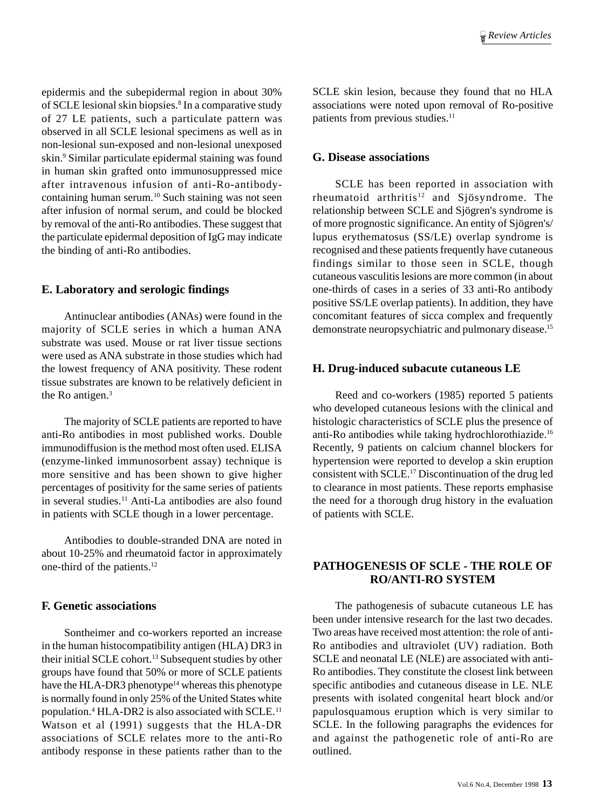epidermis and the subepidermal region in about 30% of SCLE lesional skin biopsies.<sup>8</sup> In a comparative study of 27 LE patients, such a particulate pattern was observed in all SCLE lesional specimens as well as in non-lesional sun-exposed and non-lesional unexposed skin.9 Similar particulate epidermal staining was found in human skin grafted onto immunosuppressed mice after intravenous infusion of anti-Ro-antibodycontaining human serum.<sup>10</sup> Such staining was not seen after infusion of normal serum, and could be blocked by removal of the anti-Ro antibodies. These suggest that the particulate epidermal deposition of IgG may indicate the binding of anti-Ro antibodies.

#### **E. Laboratory and serologic findings**

Antinuclear antibodies (ANAs) were found in the majority of SCLE series in which a human ANA substrate was used. Mouse or rat liver tissue sections were used as ANA substrate in those studies which had the lowest frequency of ANA positivity. These rodent tissue substrates are known to be relatively deficient in the Ro antigen.<sup>3</sup>

The majority of SCLE patients are reported to have anti-Ro antibodies in most published works. Double immunodiffusion is the method most often used. ELISA (enzyme-linked immunosorbent assay) technique is more sensitive and has been shown to give higher percentages of positivity for the same series of patients in several studies.11 Anti-La antibodies are also found in patients with SCLE though in a lower percentage.

Antibodies to double-stranded DNA are noted in about 10-25% and rheumatoid factor in approximately one-third of the patients.12

#### **F. Genetic associations**

Sontheimer and co-workers reported an increase in the human histocompatibility antigen (HLA) DR3 in their initial SCLE cohort.13 Subsequent studies by other groups have found that 50% or more of SCLE patients have the HLA-DR3 phenotype<sup>14</sup> whereas this phenotype is normally found in only 25% of the United States white population.4 HLA-DR2 is also associated with SCLE.11 Watson et al (1991) suggests that the HLA-DR associations of SCLE relates more to the anti-Ro antibody response in these patients rather than to the SCLE skin lesion, because they found that no HLA associations were noted upon removal of Ro-positive patients from previous studies.<sup>11</sup>

#### **G. Disease associations**

SCLE has been reported in association with rheumatoid arthritis<sup>12</sup> and Sjösyndrome. The relationship between SCLE and Sjögren's syndrome is of more prognostic significance. An entity of Sjögren's/ lupus erythematosus (SS/LE) overlap syndrome is recognised and these patients frequently have cutaneous findings similar to those seen in SCLE, though cutaneous vasculitis lesions are more common (in about one-thirds of cases in a series of 33 anti-Ro antibody positive SS/LE overlap patients). In addition, they have concomitant features of sicca complex and frequently demonstrate neuropsychiatric and pulmonary disease.15

#### **H. Drug-induced subacute cutaneous LE**

Reed and co-workers (1985) reported 5 patients who developed cutaneous lesions with the clinical and histologic characteristics of SCLE plus the presence of anti-Ro antibodies while taking hydrochlorothiazide.16 Recently, 9 patients on calcium channel blockers for hypertension were reported to develop a skin eruption consistent with SCLE.17 Discontinuation of the drug led to clearance in most patients. These reports emphasise the need for a thorough drug history in the evaluation of patients with SCLE.

#### **PATHOGENESIS OF SCLE - THE ROLE OF RO/ANTI-RO SYSTEM**

The pathogenesis of subacute cutaneous LE has been under intensive research for the last two decades. Two areas have received most attention: the role of anti-Ro antibodies and ultraviolet (UV) radiation. Both SCLE and neonatal LE (NLE) are associated with anti-Ro antibodies. They constitute the closest link between specific antibodies and cutaneous disease in LE. NLE presents with isolated congenital heart block and/or papulosquamous eruption which is very similar to SCLE. In the following paragraphs the evidences for and against the pathogenetic role of anti-Ro are outlined.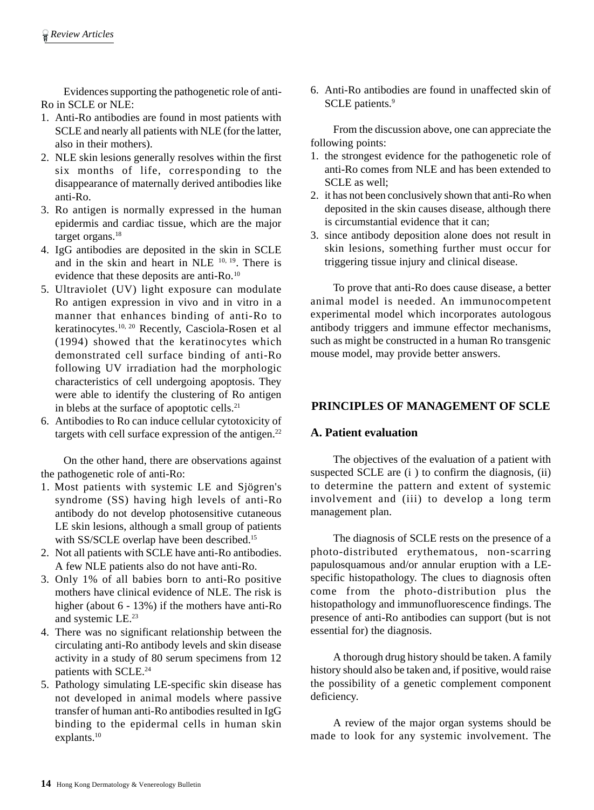Evidences supporting the pathogenetic role of anti-Ro in SCLE or NLE:

- 1. Anti-Ro antibodies are found in most patients with SCLE and nearly all patients with NLE (for the latter, also in their mothers).
- 2. NLE skin lesions generally resolves within the first six months of life, corresponding to the disappearance of maternally derived antibodies like anti-Ro.
- 3. Ro antigen is normally expressed in the human epidermis and cardiac tissue, which are the major target organs.<sup>18</sup>
- 4. IgG antibodies are deposited in the skin in SCLE and in the skin and heart in NLE  $10, 19$ . There is evidence that these deposits are anti-Ro.<sup>10</sup>
- 5. Ultraviolet (UV) light exposure can modulate Ro antigen expression in vivo and in vitro in a manner that enhances binding of anti-Ro to keratinocytes.10, 20 Recently, Casciola-Rosen et al (1994) showed that the keratinocytes which demonstrated cell surface binding of anti-Ro following UV irradiation had the morphologic characteristics of cell undergoing apoptosis. They were able to identify the clustering of Ro antigen in blebs at the surface of apoptotic cells.<sup>21</sup>
- 6. Antibodies to Ro can induce cellular cytotoxicity of targets with cell surface expression of the antigen.<sup>22</sup>

On the other hand, there are observations against the pathogenetic role of anti-Ro:

- 1. Most patients with systemic LE and Sjögren's syndrome (SS) having high levels of anti-Ro antibody do not develop photosensitive cutaneous LE skin lesions, although a small group of patients with SS/SCLE overlap have been described.<sup>15</sup>
- 2. Not all patients with SCLE have anti-Ro antibodies. A few NLE patients also do not have anti-Ro.
- 3. Only 1% of all babies born to anti-Ro positive mothers have clinical evidence of NLE. The risk is higher (about 6 - 13%) if the mothers have anti-Ro and systemic LE.23
- 4. There was no significant relationship between the circulating anti-Ro antibody levels and skin disease activity in a study of 80 serum specimens from 12 patients with SCLE.<sup>24</sup>
- 5. Pathology simulating LE-specific skin disease has not developed in animal models where passive transfer of human anti-Ro antibodies resulted in IgG binding to the epidermal cells in human skin explants.10

6. Anti-Ro antibodies are found in unaffected skin of SCLE patients.<sup>9</sup>

From the discussion above, one can appreciate the following points:

- 1. the strongest evidence for the pathogenetic role of anti-Ro comes from NLE and has been extended to SCLE as well;
- 2. it has not been conclusively shown that anti-Ro when deposited in the skin causes disease, although there is circumstantial evidence that it can;
- 3. since antibody deposition alone does not result in skin lesions, something further must occur for triggering tissue injury and clinical disease.

To prove that anti-Ro does cause disease, a better animal model is needed. An immunocompetent experimental model which incorporates autologous antibody triggers and immune effector mechanisms, such as might be constructed in a human Ro transgenic mouse model, may provide better answers.

## **PRINCIPLES OF MANAGEMENT OF SCLE**

#### **A. Patient evaluation**

The objectives of the evaluation of a patient with suspected SCLE are (i ) to confirm the diagnosis, (ii) to determine the pattern and extent of systemic involvement and (iii) to develop a long term management plan.

The diagnosis of SCLE rests on the presence of a photo-distributed erythematous, non-scarring papulosquamous and/or annular eruption with a LEspecific histopathology. The clues to diagnosis often come from the photo-distribution plus the histopathology and immunofluorescence findings. The presence of anti-Ro antibodies can support (but is not essential for) the diagnosis.

A thorough drug history should be taken. A family history should also be taken and, if positive, would raise the possibility of a genetic complement component deficiency.

A review of the major organ systems should be made to look for any systemic involvement. The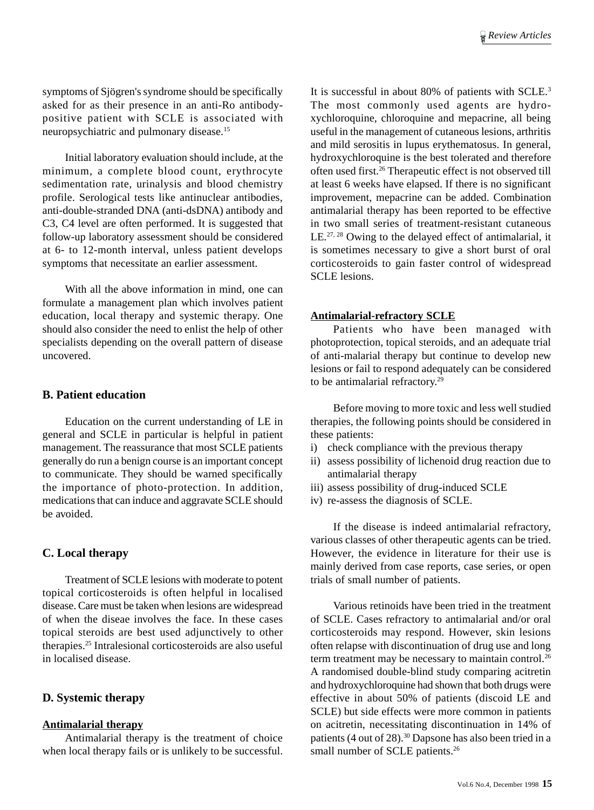symptoms of Sjögren's syndrome should be specifically asked for as their presence in an anti-Ro antibodypositive patient with SCLE is associated with neuropsychiatric and pulmonary disease.<sup>15</sup>

Initial laboratory evaluation should include, at the minimum, a complete blood count, erythrocyte sedimentation rate, urinalysis and blood chemistry profile. Serological tests like antinuclear antibodies, anti-double-stranded DNA (anti-dsDNA) antibody and C3, C4 level are often performed. It is suggested that follow-up laboratory assessment should be considered at 6- to 12-month interval, unless patient develops symptoms that necessitate an earlier assessment.

With all the above information in mind, one can formulate a management plan which involves patient education, local therapy and systemic therapy. One should also consider the need to enlist the help of other specialists depending on the overall pattern of disease uncovered.

#### **B. Patient education**

Education on the current understanding of LE in general and SCLE in particular is helpful in patient management. The reassurance that most SCLE patients generally do run a benign course is an important concept to communicate. They should be warned specifically the importance of photo-protection. In addition, medications that can induce and aggravate SCLE should be avoided.

#### **C. Local therapy**

Treatment of SCLE lesions with moderate to potent topical corticosteroids is often helpful in localised disease. Care must be taken when lesions are widespread of when the diseae involves the face. In these cases topical steroids are best used adjunctively to other therapies.25 Intralesional corticosteroids are also useful in localised disease.

#### **D. Systemic therapy**

#### **Antimalarial therapy**

Antimalarial therapy is the treatment of choice when local therapy fails or is unlikely to be successful.

It is successful in about 80% of patients with SCLE.3 The most commonly used agents are hydroxychloroquine, chloroquine and mepacrine, all being useful in the management of cutaneous lesions, arthritis and mild serositis in lupus erythematosus. In general, hydroxychloroquine is the best tolerated and therefore often used first.26 Therapeutic effect is not observed till at least 6 weeks have elapsed. If there is no significant improvement, mepacrine can be added. Combination antimalarial therapy has been reported to be effective in two small series of treatment-resistant cutaneous LE.<sup>27, 28</sup> Owing to the delayed effect of antimalarial, it is sometimes necessary to give a short burst of oral corticosteroids to gain faster control of widespread SCLE lesions.

#### **Antimalarial-refractory SCLE**

Patients who have been managed with photoprotection, topical steroids, and an adequate trial of anti-malarial therapy but continue to develop new lesions or fail to respond adequately can be considered to be antimalarial refractory.29

Before moving to more toxic and less well studied therapies, the following points should be considered in these patients:

- i) check compliance with the previous therapy
- ii) assess possibility of lichenoid drug reaction due to antimalarial therapy
- iii) assess possibility of drug-induced SCLE
- iv) re-assess the diagnosis of SCLE.

If the disease is indeed antimalarial refractory, various classes of other therapeutic agents can be tried. However, the evidence in literature for their use is mainly derived from case reports, case series, or open trials of small number of patients.

Various retinoids have been tried in the treatment of SCLE. Cases refractory to antimalarial and/or oral corticosteroids may respond. However, skin lesions often relapse with discontinuation of drug use and long term treatment may be necessary to maintain control.<sup>26</sup> A randomised double-blind study comparing acitretin and hydroxychloroquine had shown that both drugs were effective in about 50% of patients (discoid LE and SCLE) but side effects were more common in patients on acitretin, necessitating discontinuation in 14% of patients (4 out of 28).30 Dapsone has also been tried in a small number of SCLE patients.<sup>26</sup>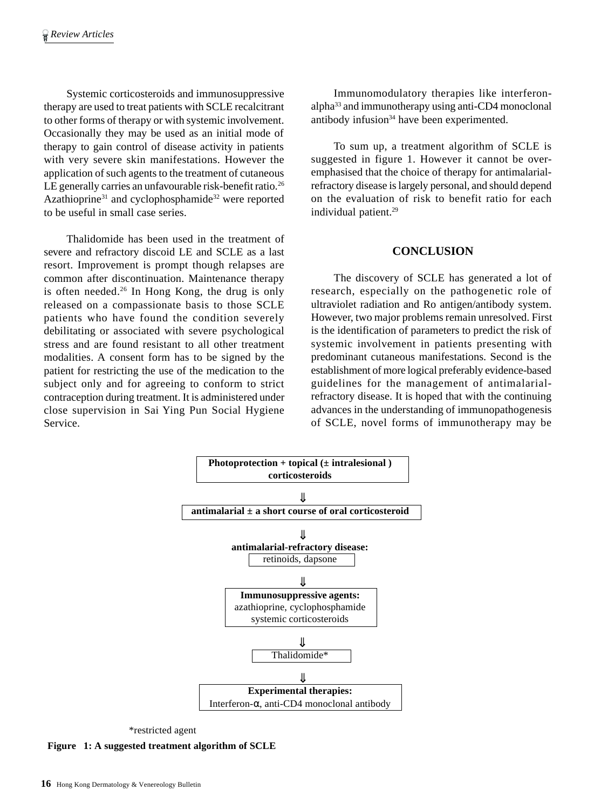Systemic corticosteroids and immunosuppressive therapy are used to treat patients with SCLE recalcitrant to other forms of therapy or with systemic involvement. Occasionally they may be used as an initial mode of therapy to gain control of disease activity in patients with very severe skin manifestations. However the application of such agents to the treatment of cutaneous LE generally carries an unfavourable risk-benefit ratio.<sup>26</sup> Azathioprine<sup>31</sup> and cyclophosphamide<sup>32</sup> were reported to be useful in small case series.

Thalidomide has been used in the treatment of severe and refractory discoid LE and SCLE as a last resort. Improvement is prompt though relapses are common after discontinuation. Maintenance therapy is often needed.<sup>26</sup> In Hong Kong, the drug is only released on a compassionate basis to those SCLE patients who have found the condition severely debilitating or associated with severe psychological stress and are found resistant to all other treatment modalities. A consent form has to be signed by the patient for restricting the use of the medication to the subject only and for agreeing to conform to strict contraception during treatment. It is administered under close supervision in Sai Ying Pun Social Hygiene Service.

Immunomodulatory therapies like interferonalpha33 and immunotherapy using anti-CD4 monoclonal antibody infusion<sup>34</sup> have been experimented.

To sum up, a treatment algorithm of SCLE is suggested in figure 1. However it cannot be overemphasised that the choice of therapy for antimalarialrefractory disease is largely personal, and should depend on the evaluation of risk to benefit ratio for each individual patient.<sup>29</sup>

#### **CONCLUSION**

The discovery of SCLE has generated a lot of research, especially on the pathogenetic role of ultraviolet radiation and Ro antigen/antibody system. However, two major problems remain unresolved. First is the identification of parameters to predict the risk of systemic involvement in patients presenting with predominant cutaneous manifestations. Second is the establishment of more logical preferably evidence-based guidelines for the management of antimalarialrefractory disease. It is hoped that with the continuing advances in the understanding of immunopathogenesis of SCLE, novel forms of immunotherapy may be



\*restricted agent

**Figure 1: A suggested treatment algorithm of SCLE**